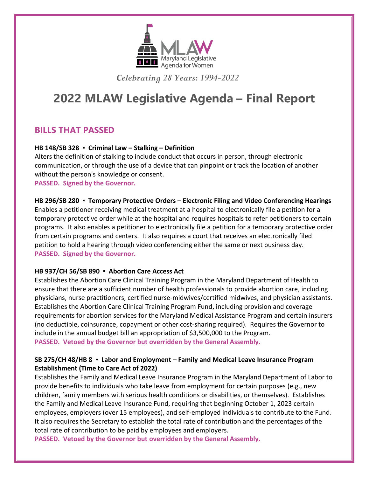

*Celebrating 28 Years: 1994-2022*

# **2022 MLAW Legislative Agenda – Final Report**

# **BILLS THAT PASSED**

### **HB 148/SB 328 ▪ Criminal Law – Stalking – Definition**

Alters the definition of stalking to include conduct that occurs in person, through electronic communication, or through the use of a device that can pinpoint or track the location of another without the person's knowledge or consent. **PASSED. Signed by the Governor.**

**HB 296/SB 280 ▪ Temporary Protective Orders – Electronic Filing and Video Conferencing Hearings** Enables a petitioner receiving medical treatment at a hospital to electronically file a petition for a temporary protective order while at the hospital and requires hospitals to refer petitioners to certain programs. It also enables a petitioner to electronically file a petition for a temporary protective order from certain programs and centers. It also requires a court that receives an electronically filed petition to hold a hearing through video conferencing either the same or next business day. **PASSED. Signed by the Governor.**

#### **HB 937/CH 56/SB 890 ▪ Abortion Care Access Act**

Establishes the Abortion Care Clinical Training Program in the Maryland Department of Health to ensure that there are a sufficient number of health professionals to provide abortion care, including physicians, nurse practitioners, certified nurse-midwives/certified midwives, and physician assistants. Establishes the Abortion Care Clinical Training Program Fund, including provision and coverage requirements for abortion services for the Maryland Medical Assistance Program and certain insurers (no deductible, coinsurance, copayment or other cost-sharing required). Requires the Governor to include in the annual budget bill an appropriation of \$3,500,000 to the Program. **PASSED. Vetoed by the Governor but overridden by the General Assembly.**

## **SB 275/CH 48/HB 8 ▪ Labor and Employment – Family and Medical Leave Insurance Program Establishment (Time to Care Act of 2022)**

Establishes the Family and Medical Leave Insurance Program in the Maryland Department of Labor to provide benefits to individuals who take leave from employment for certain purposes (e.g., new children, family members with serious health conditions or disabilities, or themselves). Establishes the Family and Medical Leave Insurance Fund, requiring that beginning October 1, 2023 certain employees, employers (over 15 employees), and self-employed individuals to contribute to the Fund. It also requires the Secretary to establish the total rate of contribution and the percentages of the total rate of contribution to be paid by employees and employers.

**PASSED. Vetoed by the Governor but overridden by the General Assembly.**